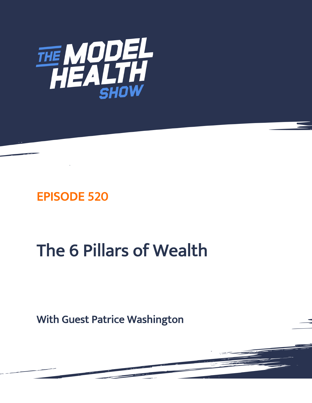

# EPISODE 520

# The 6 Pillars of Wealth

With Guest Patrice Washington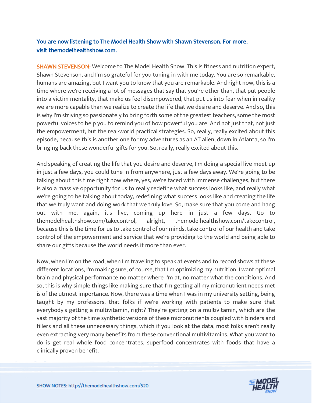# You are now listening to The Model Health Show with Shawn Stevenson. For more, visit themodelhealthshow.com.

**SHAWN STEVENSON:** Welcome to The Model Health Show. This is fitness and nutrition expert, Shawn Stevenson, and I'm so grateful for you tuning in with me today. You are so remarkable, humans are amazing, but I want you to know that you are remarkable. And right now, this is a time where we're receiving a lot of messages that say that you're other than, that put people into a victim mentality, that make us feel disempowered, that put us into fear when in reality we are more capable than we realize to create the life that we desire and deserve. And so, this is why I'm striving so passionately to bring forth some of the greatest teachers, some the most powerful voices to help you to remind you of how powerful you are. And not just that, not just the empowerment, but the real-world practical strategies. So, really, really excited about this episode, because this is another one for my adventures as an AT alien, down in Atlanta, so I'm bringing back these wonderful gifts for you. So, really, really excited about this.

And speaking of creating the life that you desire and deserve, I'm doing a special live meet-up in just a few days, you could tune in from anywhere, just a few days away. We're going to be talking about this time right now where, yes, we're faced with immense challenges, but there is also a massive opportunity for us to really redefine what success looks like, and really what we're going to be talking about today, redefining what success looks like and creating the life that we truly want and doing work that we truly love. So, make sure that you come and hang out with me, again, it's live, coming up here in just a few days. Go to themodelhealthshow.com/takecontrol, alright, themodelhealthshow.com/takecontrol, because this is the time for us to take control of our minds, take control of our health and take control of the empowerment and service that we're providing to the world and being able to share our gifts because the world needs it more than ever.

Now, when I'm on the road, when I'm traveling to speak at events and to record shows at these different locations, I'm making sure, of course, that I'm optimizing my nutrition. I want optimal brain and physical performance no matter where I'm at, no matter what the conditions. And so, this is why simple things like making sure that I'm getting all my micronutrient needs met is of the utmost importance. Now, there was a time when I was in my university setting, being taught by my professors, that folks if we're working with patients to make sure that everybody's getting a multivitamin, right? They're getting on a multivitamin, which are the vast majority of the time synthetic versions of these micronutrients coupled with binders and fillers and all these unnecessary things, which if you look at the data, most folks aren't really even extracting very many benefits from these conventional multivitamins. What you want to do is get real whole food concentrates, superfood concentrates with foods that have a clinically proven benefit.

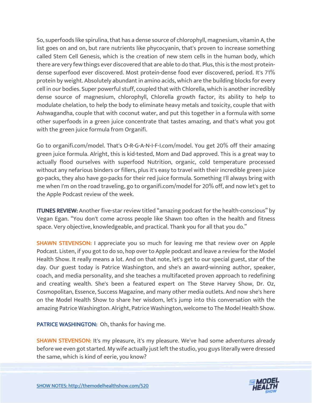So, superfoods like spirulina, that has a dense source of chlorophyll, magnesium, vitamin A, the list goes on and on, but rare nutrients like phycocyanin, that's proven to increase something called Stem Cell Genesis, which is the creation of new stem cells in the human body, which there are very few things ever discovered that are able to do that. Plus, this is the most proteindense superfood ever discovered. Most protein-dense food ever discovered, period. It's 71% protein by weight. Absolutely abundant in amino acids, which are the building blocks for every cell in our bodies. Super powerful stuff, coupled that with Chlorella, which is another incredibly dense source of magnesium, chlorophyll, Chlorella growth factor, its ability to help to modulate chelation, to help the body to eliminate heavy metals and toxicity, couple that with Ashwagandha, couple that with coconut water, and put this together in a formula with some other superfoods in a green juice concentrate that tastes amazing, and that's what you got with the green juice formula from Organifi.

Go to organifi.com/model. That's O-R-G-A-N-I-F-I.com/model. You get 20% off their amazing green juice formula. Alright, this is kid-tested, Mom and Dad approved. This is a great way to actually flood ourselves with superfood Nutrition, organic, cold temperature processed without any nefarious binders or fillers, plus it's easy to travel with their incredible green juice go-packs, they also have go-packs for their red juice formula. Something I'll always bring with me when I'm on the road traveling, go to organifi.com/model for 20% off, and now let's get to the Apple Podcast review of the week.

ITUNES REVIEW: Another five-star review titled "amazing podcast for the health-conscious" by Vegan Egan. "You don't come across people like Shawn too often in the health and fitness space. Very objective, knowledgeable, and practical. Thank you for all that you do."

**SHAWN STEVENSON: I** appreciate you so much for leaving me that review over on Apple Podcast. Listen, if you got to do so, hop over to Apple podcast and leave a review for the Model Health Show. It really means a lot. And on that note, let's get to our special guest, star of the day. Our guest today is Patrice Washington, and she's an award-winning author, speaker, coach, and media personality, and she teaches a multifaceted proven approach to redefining and creating wealth. She's been a featured expert on The Steve Harvey Show, Dr. Oz, Cosmopolitan, Essence, Success Magazine, and many other media outlets. And now she's here on the Model Health Show to share her wisdom, let's jump into this conversation with the amazing Patrice Washington. Alright, Patrice Washington, welcome to The Model Health Show.

PATRICE WASHINGTON: Oh, thanks for having me.

SHAWN STEVENSON: It's my pleasure, it's my pleasure. We've had some adventures already before we even got started. My wife actually just left the studio, you guys literally were dressed the same, which is kind of eerie, you know?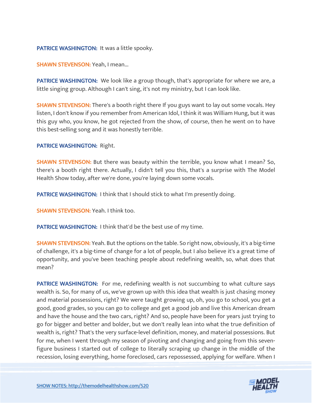#### PATRICE WASHINGTON: It was a little spooky.

SHAWN STEVENSON: Yeah, I mean...

**PATRICE WASHINGTON:** We look like a group though, that's appropriate for where we are, a little singing group. Although I can't sing, it's not my ministry, but I can look like.

**SHAWN STEVENSON:** There's a booth right there If you guys want to lay out some vocals. Hey listen, I don't know if you remember from American Idol, I think it was William Hung, but it was this guy who, you know, he got rejected from the show, of course, then he went on to have this best-selling song and it was honestly terrible.

PATRICE WASHINGTON: Right.

SHAWN STEVENSON: But there was beauty within the terrible, you know what I mean? So, there's a booth right there. Actually, I didn't tell you this, that's a surprise with The Model Health Show today, after we're done, you're laying down some vocals.

PATRICE WASHINGTON: I think that I should stick to what I'm presently doing.

SHAWN STEVENSON: Yeah. I think too.

**PATRICE WASHINGTON: I think that'd be the best use of my time.** 

SHAWN STEVENSON: Yeah. But the options on the table. So right now, obviously, it's a big-time of challenge, it's a big-time of change for a lot of people, but I also believe it's a great time of opportunity, and you've been teaching people about redefining wealth, so, what does that mean?

PATRICE WASHINGTON: For me, redefining wealth is not succumbing to what culture says wealth is. So, for many of us, we've grown up with this idea that wealth is just chasing money and material possessions, right? We were taught growing up, oh, you go to school, you get a good, good grades, so you can go to college and get a good job and live this American dream and have the house and the two cars, right? And so, people have been for years just trying to go for bigger and better and bolder, but we don't really lean into what the true definition of wealth is, right? That's the very surface-level definition, money, and material possessions. But for me, when I went through my season of pivoting and changing and going from this sevenfigure business I started out of college to literally scraping up change in the middle of the recession, losing everything, home foreclosed, cars repossessed, applying for welfare. When I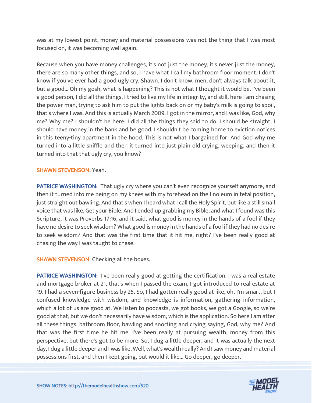was at my lowest point, money and material possessions was not the thing that I was most focused on, it was becoming well again.

Because when you have money challenges, it's not just the money, it's never just the money, there are so many other things, and so, I have what I call my bathroom floor moment. I don't know if you've ever had a good ugly cry, Shawn. I don't know, men, don't always talk about it, but a good... Oh my gosh, what is happening? This is not what I thought it would be. I've been a good person, I did all the things, I tried to live my life in integrity, and still, here I am chasing the power man, trying to ask him to put the lights back on or my baby's milk is going to spoil, that's where I was. And this is actually March 2009. I got in the mirror, and I was like, God, why me? Why me? I shouldn't be here; I did all the things they said to do. I should be straight, I should have money in the bank and be good, I shouldn't be coming home to eviction notices in this teeny-tiny apartment in the hood. This is not what I bargained for. And God why me turned into a little sniffle and then it turned into just plain old crying, weeping, and then it turned into that that ugly cry, you know?

#### SHAWN STEVENSON: Yeah.

PATRICE WASHINGTON: That ugly cry where you can't even recognize yourself anymore, and then it turned into me being on my knees with my forehead on the linoleum in fetal position, just straight out bawling. And that's when I heard what I call the Holy Spirit, but like a still small voice that was like, Get your Bible. And I ended up grabbing my Bible, and what I found was this Scripture, it was Proverbs 17:16, and it said, what good is money in the hands of a fool if they have no desire to seek wisdom? What good is money in the hands of a fool if they had no desire to seek wisdom? And that was the first time that it hit me, right? I've been really good at chasing the way I was taught to chase.

# **SHAWN STEVENSON:** Checking all the boxes.

PATRICE WASHINGTON: I've been really good at getting the certification. I was a real estate and mortgage broker at 21, that's when I passed the exam, I got introduced to real estate at 19. I had a seven-figure business by 25. So, I had gotten really good at like, oh, I'm smart, but I confused knowledge with wisdom, and knowledge is information, gathering information, which a lot of us are good at. We listen to podcasts, we got books, we got a Google, so we're good at that, but we don't necessarily have wisdom, which is the application. So here I am after all these things, bathroom floor, bawling and snorting and crying saying, God, why me? And that was the first time he hit me. I've been really at pursuing wealth, money from this perspective, but there's got to be more. So, I dug a little deeper, and it was actually the next day, I dug a little deeper and I was like, Well, what's wealth really? And I saw money and material possessions first, and then I kept going, but would it like... Go deeper, go deeper.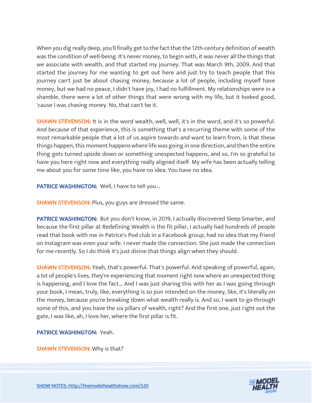When you dig really deep, you'll finally get to the fact that the 12th-century definition of wealth was the condition of well-being. It's never money, to begin with, it was never all the things that we associate with wealth, and that started my journey. That was March 9th, 2009. And that started the journey for me wanting to get out here and just try to teach people that this journey can't just be about chasing money, because a lot of people, including myself have money, but we had no peace, I didn't have joy, I had no fulfillment. My relationships were in a shamble, there were a lot of other things that were wrong with my life, but it looked good, 'cause I was chasing money. No, that can't be it.

**SHAWN STEVENSON:** It is in the word wealth, well, well, it's in the word, and it's so powerful. And because of that experience, this is something that's a recurring theme with some of the most remarkable people that a lot of us aspire towards and want to learn from, is that these things happen, this moment happens where life was going in one direction, and then the entire thing gets turned upside down or something unexpected happens, and so, I'm so grateful to have you here right now and everything really aligned itself. My wife has been actually telling me about you for some time like, you have no idea. You have no idea.

PATRICE WASHINGTON: Well, I have to tell you...

**SHAWN STEVENSON: Plus, you guys are dressed the same.** 

PATRICE WASHINGTON: But you don't know, in 2019, I actually discovered Sleep Smarter, and because the first pillar at Redefining Wealth is the fit pillar, I actually had hundreds of people read that book with me in Patrice's Pod club in a Facebook group, had no idea that my friend on Instagram was even your wife. I never made the connection. She just made the connection for me recently. So I do think it's just divine that things align when they should.

SHAWN STEVENSON: Yeah, that's powerful. That's powerful. And speaking of powerful, again, a lot of people's lives, they're experiencing that moment right now where an unexpected thing is happening, and I love the fact... And I was just sharing this with her as I was going through your book, I mean, truly, like, everything is so pun intended on the money, like, it's literally on the money, because you're breaking down what wealth really is. And so, I want to go through some of this, and you have the six pillars of wealth, right? And the first one, just right out the gate, I was like, ah, I love her, where the first pillar is fit.

# PATRICE WASHINGTON: Yeah.

SHAWN STEVENSON: Why is that?

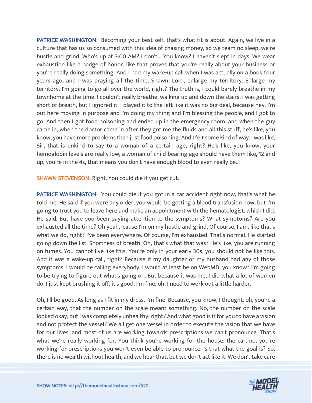PATRICE WASHINGTON: Becoming your best self, that's what fit is about. Again, we live in a culture that has us so consumed with this idea of chasing money, so we team no sleep, we're hustle and grind, Who's up at 3:00 AM? I don't... You know? I haven't slept in days. We wear exhaustion like a badge of honor, like that proves that you're really about your business or you're really doing something. And I had my wake-up call when I was actually on a book tour years ago, and I was praying all the time, Shawn, Lord, enlarge my territory. Enlarge my territory. I'm going to go all over the world, right? The truth is, I could barely breathe in my townhome at the time. I couldn't really breathe, walking up and down the stairs, I was getting short of breath, but I ignored it. I played it to the left like it was no big deal, because hey, I'm out here moving in purpose and I'm doing my thing and I'm blessing the people, and I got to go. And then I got food poisoning and ended up in the emergency room, and when the guy came in, when the doctor came in after they got me the fluids and all this stuff, he's like, you know, you have more problems than just food poisoning. And I felt some kind of way. I was like, Sir, that is unkind to say to a woman of a certain age, right? He's like, you know, your hemoglobin levels are really low, a woman of child-bearing age should have them like, 12 and up, you're in the 4s, that means you don't have enough blood to even really be...

SHAWN STEVENSON: Right. You could die if you get cut.

PATRICE WASHINGTON: You could die if you got in a car accident right now, that's what he told me. He said if you were any older, you would be getting a blood transfusion now, but I'm going to trust you to leave here and make an appointment with the hematologist, which I did. He said, But have you been paying attention to the symptoms? What symptoms? Are you exhausted all the time? Oh yeah, 'cause I'm on my hustle and grind. Of course, I am, like that's what we do, right? I've been everywhere. Of course, I'm exhausted. That's normal. He started going down the list. Shortness of breath. Oh, that's what that was? He's like, you are running on fumes. You cannot live like this. You're only in your early 30s, you should not be like this. And it was a wake-up call, right? Because if my daughter or my husband had any of those symptoms, I would be calling everybody, I would at least be on WebMD, you know? I'm going to be trying to figure out what's going on. But because it was me, I did what a lot of women do, I just kept brushing it off, it's good, I'm fine, oh, I need to work out a little harder.

Oh, I'll be good. As long as I fit in my dress, I'm fine. Because, you know, I thought, oh, you're a certain way, that the number on the scale meant something. No, the number on the scale looked okay, but I was completely unhealthy, right? And what good is it for you to have a vision and not protect the vessel? We all get one vessel in order to execute the vision that we have for our lives, and most of us are working towards prescriptions we can't pronounce. That's what we're really working for. You think you're working for the house, the car, no, you're working for prescriptions you won't even be able to pronounce. Is that what the goal is? So, there is no wealth without health, and we hear that, but we don't act like it. We don't take care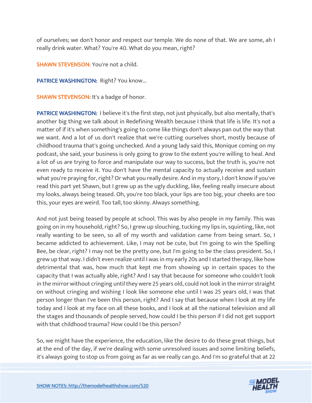of ourselves; we don't honor and respect our temple. We do none of that. We are some, ah I really drink water. What? You're 40. What do you mean, right?

SHAWN STEVENSON: You're not a child.

PATRICE WASHINGTON: Right? You know...

**SHAWN STEVENSON:** It's a badge of honor.

PATRICE WASHINGTON: I believe it's the first step, not just physically, but also mentally, that's another big thing we talk about in Redefining Wealth because I think that life is life. It's not a matter of if it's when something's going to come like things don't always pan out the way that we want. And a lot of us don't realize that we're cutting ourselves short, mostly because of childhood trauma that's going unchecked. And a young lady said this, Monique coming on my podcast, she said, your business is only going to grow to the extent you're willing to heal. And a lot of us are trying to force and manipulate our way to success, but the truth is, you're not even ready to receive it. You don't have the mental capacity to actually receive and sustain what you're praying for, right? Or what you really desire. And in my story, I don't know if you've read this part yet Shawn, but I grew up as the ugly duckling, like, feeling really insecure about my looks, always being teased. Oh, you're too black, your lips are too big, your cheeks are too this, your eyes are weird. Too tall, too skinny. Always something.

And not just being teased by people at school. This was by also people in my family. This was going on in my household, right? So, I grew up slouching, tucking my lips in, squinting, like, not really wanting to be seen, so all of my worth and validation came from being smart. So, I became addicted to achievement. Like, I may not be cute, but I'm going to win the Spelling Bee, be clear, right? I may not be the pretty one, but I'm going to be the class president. So, I grew up that way. I didn't even realize until I was in my early 20s and I started therapy, like how detrimental that was, how much that kept me from showing up in certain spaces to the capacity that I was actually able, right? And I say that because for someone who couldn't look in the mirror without cringing until they were 25 years old, could not look in the mirror straight on without cringing and wishing I look like someone else until I was 25 years old, I was that person longer than I've been this person, right? And I say that because when I look at my life today and I look at my face on all these books, and I look at all the national television and all the stages and thousands of people served, how could I be this person if I did not get support with that childhood trauma? How could I be this person?

So, we might have the experience, the education, like the desire to do these great things, but at the end of the day, if we're dealing with some unresolved issues and some limiting beliefs, it's always going to stop us from going as far as we really can go. And I'm so grateful that at 22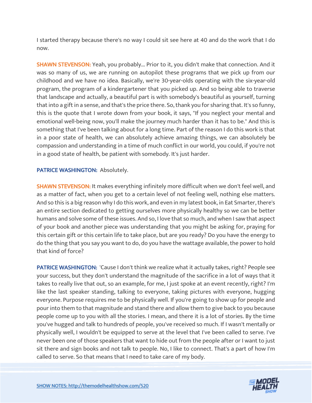I started therapy because there's no way I could sit see here at 40 and do the work that I do now.

SHAWN STEVENSON: Yeah, you probably... Prior to it, you didn't make that connection. And it was so many of us, we are running on autopilot these programs that we pick up from our childhood and we have no idea. Basically, we're 30-year-olds operating with the six-year-old program, the program of a kindergartener that you picked up. And so being able to traverse that landscape and actually, a beautiful part is with somebody's beautiful as yourself, turning that into a gift in a sense, and that's the price there. So, thank you for sharing that. It's so funny, this is the quote that I wrote down from your book, it says, "If you neglect your mental and emotional well-being now, you'll make the journey much harder than it has to be." And this is something that I've been talking about for a long time. Part of the reason I do this work is that in a poor state of health, we can absolutely achieve amazing things, we can absolutely be compassion and understanding in a time of much conflict in our world, you could, if you're not in a good state of health, be patient with somebody. It's just harder.

# PATRICE WASHINGTON: Absolutely.

SHAWN STEVENSON: It makes everything infinitely more difficult when we don't feel well, and as a matter of fact, when you get to a certain level of not feeling well, nothing else matters. And so this is a big reason why I do this work, and even in my latest book, in Eat Smarter, there's an entire section dedicated to getting ourselves more physically healthy so we can be better humans and solve some of these issues. And so, I love that so much, and when I saw that aspect of your book and another piece was understanding that you might be asking for, praying for this certain gift or this certain life to take place, but are you ready? Do you have the energy to do the thing that you say you want to do, do you have the wattage available, the power to hold that kind of force?

PATRICE WASHINGTON: 'Cause I don't think we realize what it actually takes, right? People see your success, but they don't understand the magnitude of the sacrifice in a lot of ways that it takes to really live that out, so an example, for me, I just spoke at an event recently, right? I'm like the last speaker standing, talking to everyone, taking pictures with everyone, hugging everyone. Purpose requires me to be physically well. If you're going to show up for people and pour into them to that magnitude and stand there and allow them to give back to you because people come up to you with all the stories. I mean, and there it is a lot of stories. By the time you've hugged and talk to hundreds of people, you've received so much. If I wasn't mentally or physically well, I wouldn't be equipped to serve at the level that I've been called to serve. I've never been one of those speakers that want to hide out from the people after or I want to just sit there and sign books and not talk to people. No, I like to connect. That's a part of how I'm called to serve. So that means that I need to take care of my body.

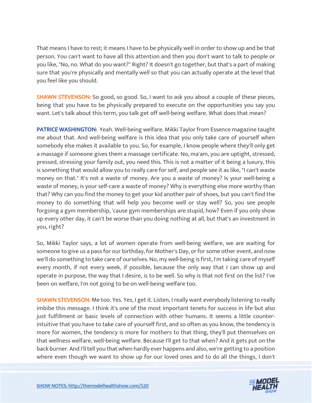That means I have to rest; it means I have to be physically well in order to show up and be that person. You can't want to have all this attention and then you don't want to talk to people or you like, "No, no. What do you want?" Right? It doesn't go together, but that's a part of making sure that you're physically and mentally well so that you can actually operate at the level that you feel like you should.

SHAWN STEVENSON: So good, so good. So, I want to ask you about a couple of these pieces, being that you have to be physically prepared to execute on the opportunities you say you want. Let's talk about this term, you talk get off well-being welfare. What does that mean?

PATRICE WASHINGTON: Yeah. Well-being welfare. Mikki Taylor from Essence magazine taught me about that. And well-being welfare is this idea that you only take care of yourself when somebody else makes it available to you. So, for example, I know people where they'll only get a massage if someone gives them a massage certificate. No, ma'am, you are uptight, stressed, pressed, stressing your family out, you need this. This is not a matter of it being a luxury, this is something that would allow you to really care for self, and people see it as like, "I can't waste money on that." It's not a waste of money. Are you a waste of money? Is your well-being a waste of money, is your self-care a waste of money? Why is everything else more worthy than that? Why can you find the money to get your kid another pair of shoes, but you can't find the money to do something that will help you become well or stay well? So, you see people forgoing a gym membership, 'cause gym memberships are stupid, how? Even if you only show up every other day, it can't be worse than you doing nothing at all, but that's an investment in you, right?

So, Mikki Taylor says, a lot of women operate from well-being welfare, we are waiting for someone to give us a pass for our birthday, for Mother's Day, or for some other event, and now we'll do something to take care of ourselves. No, my well-being is first, I'm taking care of myself every month, if not every week, if possible, because the only way that I can show up and operate in purpose, the way that I desire, is to be well. So why is that not first on the list? I've been on welfare, I'm not going to be on well-being welfare too.

SHAWN STEVENSON: Me too. Yes. Yes, I get it. Listen, I really want everybody listening to really imbibe this message. I think it's one of the most important tenets for success in life but also just fulfillment or basic levels of connection with other humans. It seems a little counterintuitive that you have to take care of yourself first, and so often as you know, the tendency is more for women, the tendency is more for mothers to that thing, they'll put themselves on that wellness welfare, well-being welfare. Because I'll get to that when? And it gets put on the back burner. And I'll tell you that when hardly ever happens and also, we're getting to a position where even though we want to show up for our loved ones and to do all the things, I don't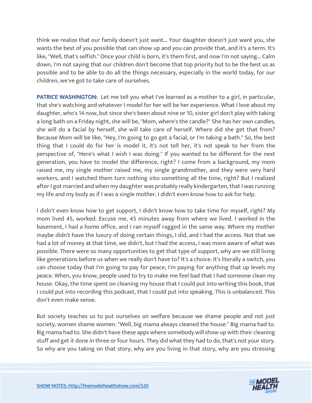think we realize that our family doesn't just want... Your daughter doesn't just want you, she wants the best of you possible that can show up and you can provide that, and it's a term. It's like, "Well, that's selfish." Once your child is born, it's them first, and now I'm not saying... Calm down, I'm not saying that our children don't become that top priority but to be the best us as possible and to be able to do all the things necessary, especially in the world today, for our children, we've got to take care of ourselves.

PATRICE WASHINGTON: Let me tell you what I've learned as a mother to a girl, in particular, that she's watching and whatever I model for her will be her experience. What I love about my daughter, who's 14 now, but since she's been about nine or 10, sister girl don't play with taking a long bath on a Friday night, she will be, "Mom, where's the candle?" She has her own candles, she will do a facial by herself, she will take care of herself. Where did she get that from? Because Mom will be like, "Hey, I'm going to go get a facial, or I'm taking a bath." So, the best thing that I could do for her is model it, it's not tell her, it's not speak to her from the perspective of, "Here's what I wish I was doing." If you wanted to be different for the next generation, you have to model the difference, right? I come from a background, my mom raised me, my single mother raised me, my single grandmother, and they were very hard workers, and I watched them turn nothing into something all the time, right? But I realized after I got married and when my daughter was probably really kindergarten, that I was running my life and my body as if I was a single mother. I didn't even know how to ask for help.

I didn't even know how to get support, I didn't know how to take time for myself, right? My mom lived 45, worked. Excuse me, 45 minutes away from where we lived. I worked in the basement, I had a home office, and I ran myself ragged in the same way. Where my mother maybe didn't have the luxury of doing certain things, I did, and I had the access. Not that we had a lot of money at that time, we didn't, but I had the access, I was more aware of what was possible. There were so many opportunities to get that type of support, why are we still living like generations before us when we really don't have to? It's a choice. It's literally a switch, you can choose today that I'm going to pay for peace, I'm paying for anything that up levels my peace. When, you know, people used to try to make me feel bad that I had someone clean my house. Okay, the time spent on cleaning my house that I could put into writing this book, that I could put into recording this podcast, that I could put into speaking. This is unbalanced. This don't even make sense.

But society teaches us to put ourselves on welfare because we shame people and not just society, women shame women. "Well, big mama always cleaned the house." Big mama had to. Big mama had to. She didn't have these apps where somebody will show up with their cleaning stuff and get it done in three or four hours. They did what they had to do, that's not your story. So why are you taking on that story, why are you living in that story, why are you stressing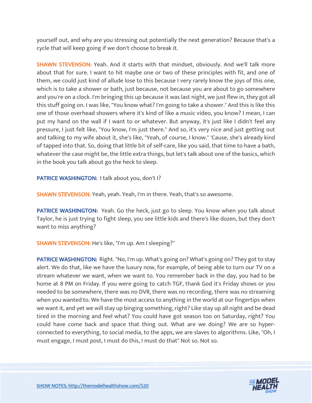yourself out, and why are you stressing out potentially the next generation? Because that's a cycle that will keep going if we don't choose to break it.

SHAWN STEVENSON: Yeah. And it starts with that mindset, obviously. And we'll talk more about that for sure. I want to hit maybe one or two of these principles with fit, and one of them, we could just kind of allude lose to this because I very rarely know the joys of this one, which is to take a shower or bath, just because, not because you are about to go somewhere and you're on a clock. I'm bringing this up because it was last night, we just flew in, they got all this stuff going on. I was like, "You know what? I'm going to take a shower." And this is like this one of those overhead showers where it's kind of like a music video, you know? I mean, I can put my hand on the wall if I want to or whatever. But anyway, it's just like I didn't feel any pressure, I just felt like, "You know, I'm just there." And so, it's very nice and just getting out and talking to my wife about it, she's like, "Yeah, of course, I know." 'Cause, she's already kind of tapped into that. So, doing that little bit of self-care, like you said, that time to have a bath, whatever the case might be, the little extra things, but let's talk about one of the basics, which in the book you talk about go the heck to sleep.

PATRICE WASHINGTON: I talk about you, don't I?

SHAWN STEVENSON: Yeah, yeah. Yeah, I'm in there. Yeah, that's so awesome.

PATRICE WASHINGTON: Yeah. Go the heck, just go to sleep. You know when you talk about Taylor, he is just trying to fight sleep, you see little kids and there's like dozen, but they don't want to miss anything?

SHAWN STEVENSON: He's like, "I'm up. Am I sleeping?"

PATRICE WASHINGTON: Right. "No, I'm up. What's going on? What's going on? They got to stay alert. We do that, like we have the luxury now, for example, of being able to turn our TV on a stream whatever we want, when we want to. You remember back in the day, you had to be home at 8 PM on Friday. If you were going to catch TGF, thank God it's Friday shows or you needed to be somewhere, there was no DVR, there was no recording, there was no streaming when you wanted to. We have the most access to anything in the world at our fingertips when we want it, and yet we will stay up binging something, right? Like stay up all night and be dead tired in the morning and feel what? You could have got season too on Saturday, right? You could have come back and space that thing out. What are we doing? We are so hyperconnected to everything, to social media, to the apps, we are slaves to algorithms. Like, "Oh, I must engage, I must post, I must do this, I must do that" Not so. Not so.

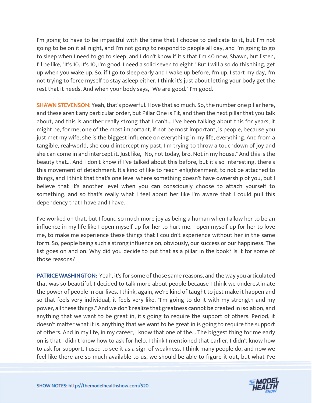I'm going to have to be impactful with the time that I choose to dedicate to it, but I'm not going to be on it all night, and I'm not going to respond to people all day, and I'm going to go to sleep when I need to go to sleep, and I don't know if it's that I'm 40 now, Shawn, but listen, I'll be like, "It's 10. It's 10, I'm good, I need a solid seven to eight." But I will also do this thing, get up when you wake up. So, if I go to sleep early and I wake up before, I'm up. I start my day, I'm not trying to force myself to stay asleep either, I think it's just about letting your body get the rest that it needs. And when your body says, "We are good." I'm good.

SHAWN STEVENSON: Yeah, that's powerful. I love that so much. So, the number one pillar here, and these aren't any particular order, but Pillar One is Fit, and then the next pillar that you talk about, and this is another really strong that I can't... I've been talking about this for years, it might be, for me, one of the most important, if not be most important, is people, because you just met my wife, she is the biggest influence on everything in my life, everything. And from a tangible, real-world, she could intercept my past, I'm trying to throw a touchdown of joy and she can come in and intercept it. Just like, "No, not today, bro. Not in my house." And this is the beauty that... And I don't know if I've talked about this before, but it's so interesting, there's this movement of detachment. It's kind of like to reach enlightenment, to not be attached to things, and I think that that's one level where something doesn't have ownership of you, but I believe that it's another level when you can consciously choose to attach yourself to something, and so that's really what I feel about her like I'm aware that I could pull this dependency that I have and I have.

I've worked on that, but I found so much more joy as being a human when I allow her to be an influence in my life like I open myself up for her to hurt me. I open myself up for her to love me, to make me experience these things that I couldn't experience without her in the same form. So, people being such a strong influence on, obviously, our success or our happiness. The list goes on and on. Why did you decide to put that as a pillar in the book? Is it for some of those reasons?

PATRICE WASHINGTON: Yeah, it's for some of those same reasons, and the way you articulated that was so beautiful. I decided to talk more about people because I think we underestimate the power of people in our lives. I think, again, we're kind of taught to just make it happen and so that feels very individual, it feels very like, "I'm going to do it with my strength and my power, all these things." And we don't realize that greatness cannot be created in isolation, and anything that we want to be great in, it's going to require the support of others. Period, it doesn't matter what it is, anything that we want to be great in is going to require the support of others. And in my life, in my career, I know that one of the... The biggest thing for me early on is that I didn't know how to ask for help. I think I mentioned that earlier, I didn't know how to ask for support. I used to see it as a sign of weakness. I think many people do, and now we feel like there are so much available to us, we should be able to figure it out, but what I've

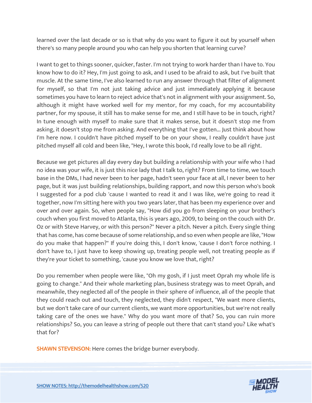learned over the last decade or so is that why do you want to figure it out by yourself when there's so many people around you who can help you shorten that learning curve?

I want to get to things sooner, quicker, faster. I'm not trying to work harder than I have to. You know how to do it? Hey, I'm just going to ask, and I used to be afraid to ask, but I've built that muscle. At the same time, I've also learned to run any answer through that filter of alignment for myself, so that I'm not just taking advice and just immediately applying it because sometimes you have to learn to reject advice that's not in alignment with your assignment. So, although it might have worked well for my mentor, for my coach, for my accountability partner, for my spouse, it still has to make sense for me, and I still have to be in touch, right? In tune enough with myself to make sure that it makes sense, but it doesn't stop me from asking, it doesn't stop me from asking. And everything that I've gotten... Just think about how I'm here now. I couldn't have pitched myself to be on your show, I really couldn't have just pitched myself all cold and been like, "Hey, I wrote this book, I'd really love to be all right.

Because we get pictures all day every day but building a relationship with your wife who I had no idea was your wife, it is just this nice lady that I talk to, right? From time to time, we touch base in the DMs, I had never been to her page, hadn't seen your face at all, I never been to her page, but it was just building relationships, building rapport, and now this person who's book I suggested for a pod club 'cause I wanted to read it and I was like, we're going to read it together, now I'm sitting here with you two years later, that has been my experience over and over and over again. So, when people say, "How did you go from sleeping on your brother's couch when you first moved to Atlanta, this is years ago, 2009, to being on the couch with Dr. Oz or with Steve Harvey, or with this person?" Never a pitch. Never a pitch. Every single thing that has come, has come because of some relationship, and so even when people are like, "How do you make that happen?" If you're doing this, I don't know, 'cause I don't force nothing. I don't have to, I just have to keep showing up, treating people well, not treating people as if they're your ticket to something, 'cause you know we love that, right?

Do you remember when people were like, "Oh my gosh, if I just meet Oprah my whole life is going to change." And their whole marketing plan, business strategy was to meet Oprah, and meanwhile, they neglected all of the people in their sphere of influence, all of the people that they could reach out and touch, they neglected, they didn't respect, "We want more clients, but we don't take care of our current clients, we want more opportunities, but we're not really taking care of the ones we have." Why do you want more of that? So, you can ruin more relationships? So, you can leave a string of people out there that can't stand you? Like what's that for?

SHAWN STEVENSON: Here comes the bridge burner everybody.

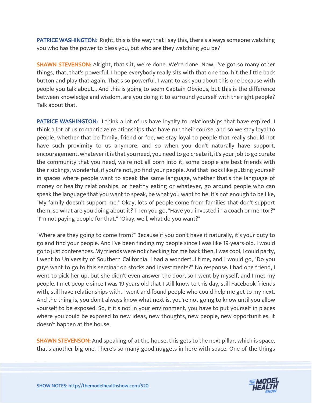PATRICE WASHINGTON: Right, this is the way that I say this, there's always someone watching you who has the power to bless you, but who are they watching you be?

SHAWN STEVENSON: Alright, that's it, we're done. We're done. Now, I've got so many other things, that, that's powerful. I hope everybody really sits with that one too, hit the little back button and play that again. That's so powerful. I want to ask you about this one because with people you talk about... And this is going to seem Captain Obvious, but this is the difference between knowledge and wisdom, are you doing it to surround yourself with the right people? Talk about that.

**PATRICE WASHINGTON:** I think a lot of us have loyalty to relationships that have expired, I think a lot of us romanticize relationships that have run their course, and so we stay loyal to people, whether that be family, friend or foe, we stay loyal to people that really should not have such proximity to us anymore, and so when you don't naturally have support, encouragement, whatever it is that you need, you need to go create it, it's your job to go curate the community that you need, we're not all born into it, some people are best friends with their siblings, wonderful, if you're not, go find your people. And that looks like putting yourself in spaces where people want to speak the same language, whether that's the language of money or healthy relationships, or healthy eating or whatever, go around people who can speak the language that you want to speak, be what you want to be. It's not enough to be like, "My family doesn't support me." Okay, lots of people come from families that don't support them, so what are you doing about it? Then you go, "Have you invested in a coach or mentor?" "I'm not paying people for that." "Okay, well, what do you want?"

"Where are they going to come from?" Because if you don't have it naturally, it's your duty to go and find your people. And I've been finding my people since I was like 19-years-old. I would go to just conferences. My friends were not checking for me back then, I was cool, I could party, I went to University of Southern California. I had a wonderful time, and I would go, "Do you guys want to go to this seminar on stocks and investments?" No response. I had one friend, I went to pick her up, but she didn't even answer the door, so I went by myself, and I met my people. I met people since I was 19 years old that I still know to this day, still Facebook friends with, still have relationships with. I went and found people who could help me get to my next. And the thing is, you don't always know what next is, you're not going to know until you allow yourself to be exposed. So, if it's not in your environment, you have to put yourself in places where you could be exposed to new ideas, new thoughts, new people, new opportunities, it doesn't happen at the house.

**SHAWN STEVENSON:** And speaking of at the house, this gets to the next pillar, which is space, that's another big one. There's so many good nuggets in here with space. One of the things

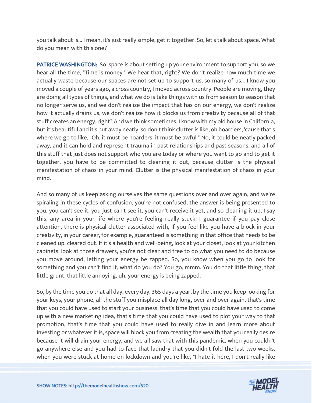you talk about is... I mean, it's just really simple, get it together. So, let's talk about space. What do you mean with this one?

PATRICE WASHINGTON: So, space is about setting up your environment to support you, so we hear all the time, "Time is money." We hear that, right? We don't realize how much time we actually waste because our spaces are not set up to support us, so many of us... I know you moved a couple of years ago, a cross country, I moved across country. People are moving, they are doing all types of things, and what we do is take things with us from season to season that no longer serve us, and we don't realize the impact that has on our energy, we don't realize how it actually drains us, we don't realize how it blocks us from creativity because all of that stuff creates an energy, right? And we think sometimes, I know with my old house in California, but it's beautiful and it's put away neatly, so don't think clutter is like, oh hoarders, 'cause that's where we go to like, "Oh, it must be hoarders, it must be awful." No, it could be neatly packed away, and it can hold and represent trauma in past relationships and past seasons, and all of this stuff that just does not support who you are today or where you want to go and to get it together, you have to be committed to cleaning it out, because clutter is the physical manifestation of chaos in your mind. Clutter is the physical manifestation of chaos in your mind.

And so many of us keep asking ourselves the same questions over and over again, and we're spiraling in these cycles of confusion, you're not confused, the answer is being presented to you, you can't see it, you just can't see it, you can't receive it yet, and so cleaning it up, I say this, any area in your life where you're feeling really stuck, I guarantee if you pay close attention, there is physical clutter associated with, if you feel like you have a block in your creativity, in your career, for example, guaranteed is something in that office that needs to be cleaned up, cleared out. If it's a health and well-being, look at your closet, look at your kitchen cabinets, look at those drawers, you're not clear and free to do what you need to do because you move around, letting your energy be zapped. So, you know when you go to look for something and you can't find it, what do you do? You go, mmm. You do that little thing, that little grunt, that little annoying, uh, your energy is being zapped.

So, by the time you do that all day, every day, 365 days a year, by the time you keep looking for your keys, your phone, all the stuff you misplace all day long, over and over again, that's time that you could have used to start your business, that's time that you could have used to come up with a new marketing idea, that's time that you could have used to plot your way to that promotion, that's time that you could have used to really dive in and learn more about investing or whatever it is, space will block you from creating the wealth that you really desire because it will drain your energy, and we all saw that with this pandemic, when you couldn't go anywhere else and you had to face that laundry that you didn't fold the last two weeks, when you were stuck at home on lockdown and you're like, "I hate it here, I don't really like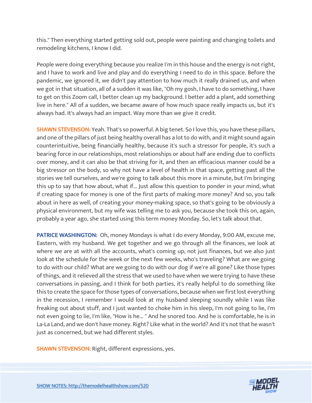this." Then everything started getting sold out, people were painting and changing toilets and remodeling kitchens, I know I did.

People were doing everything because you realize I'm in this house and the energy is not right, and I have to work and live and play and do everything I need to do in this space. Before the pandemic, we ignored it, we didn't pay attention to how much it really drained us, and when we got in that situation, all of a sudden it was like, "Oh my gosh, I have to do something, I have to get on this Zoom call, I better clean up my background. I better add a plant, add something live in here." All of a sudden, we became aware of how much space really impacts us, but it's always had. It's always had an impact. Way more than we give it credit.

SHAWN STEVENSON: Yeah. That's so powerful. A big tenet. So I love this, you have these pillars, and one of the pillars of just being healthy overall has a lot to do with, and it might sound again counterintuitive, being financially healthy, because it's such a stressor for people, it's such a bearing force in our relationships, most relationships or about half are ending due to conflicts over money, and it can also be that striving for it, and then an efficacious manner could be a big stressor on the body, so why not have a level of health in that space, getting past all the stories we tell ourselves, and we're going to talk about this more in a minute, but I'm bringing this up to say that how about, what if... Just allow this question to ponder in your mind, what if creating space for money is one of the first parts of making more money? And so, you talk about in here as well, of creating your money-making space, so that's going to be obviously a physical environment, but my wife was telling me to ask you, because she took this on, again, probably a year ago, she started using this term money Monday. So, let's talk about that.

PATRICE WASHINGTON: Oh, money Mondays is what I do every Monday, 9:00 AM, excuse me, Eastern, with my husband. We get together and we go through all the finances, we look at where we are at with all the accounts, what's coming up, not just finances, but we also just look at the schedule for the week or the next few weeks, who's traveling? What are we going to do with our child? What are we going to do with our dog if we're all gone? Like those types of things, and it relieved all the stress that we used to have when we were trying to have these conversations in passing, and I think for both parties, it's really helpful to do something like this to create the space for those types of conversations, because when we first lost everything in the recession, I remember I would look at my husband sleeping soundly while I was like freaking out about stuff, and I just wanted to choke him in his sleep, I'm not going to lie, I'm not even going to lie, I'm like, "How is he... " And he snored too. And he is comfortable, he is in La-La Land, and we don't have money. Right? Like what in the world? And it's not that he wasn't just as concerned, but we had different styles.

SHAWN STEVENSON: Right, different expressions, yes.

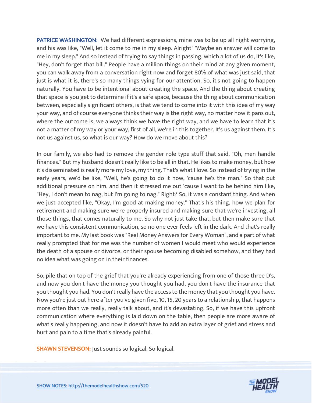PATRICE WASHINGTON: We had different expressions, mine was to be up all night worrying, and his was like, "Well, let it come to me in my sleep. Alright" "Maybe an answer will come to me in my sleep." And so instead of trying to say things in passing, which a lot of us do, it's like, "Hey, don't forget that bill." People have a million things on their mind at any given moment, you can walk away from a conversation right now and forget 80% of what was just said, that just is what it is, there's so many things vying for our attention. So, it's not going to happen naturally. You have to be intentional about creating the space. And the thing about creating that space is you get to determine if it's a safe space, because the thing about communication between, especially significant others, is that we tend to come into it with this idea of my way your way, and of course everyone thinks their way is the right way, no matter how it pans out, where the outcome is, we always think we have the right way, and we have to learn that it's not a matter of my way or your way, first of all, we're in this together. It's us against them. It's not us against us, so what is our way? How do we move about this?

In our family, we also had to remove the gender role type stuff that said, "Oh, men handle finances." But my husband doesn't really like to be all in that. He likes to make money, but how it's disseminated is really more my love, my thing. That's what I love. So instead of trying in the early years, we'd be like, "Well, he's going to do it now, 'cause he's the man." So that put additional pressure on him, and then it stressed me out 'cause I want to be behind him like, "Hey, I don't mean to nag, but I'm going to nag." Right? So, it was a constant thing. And when we just accepted like, "Okay, I'm good at making money." That's his thing, how we plan for retirement and making sure we're properly insured and making sure that we're investing, all those things, that comes naturally to me. So why not just take that, but then make sure that we have this consistent communication, so no one ever feels left in the dark. And that's really important to me. My last book was "Real Money Answers for Every Woman", and a part of what really prompted that for me was the number of women I would meet who would experience the death of a spouse or divorce, or their spouse becoming disabled somehow, and they had no idea what was going on in their finances.

So, pile that on top of the grief that you're already experiencing from one of those three D's, and now you don't have the money you thought you had, you don't have the insurance that you thought you had. You don't really have the access to the money that you thought you have. Now you're just out here after you've given five, 10, 15, 20 years to a relationship, that happens more often than we really, really talk about, and it's devastating. So, if we have this upfront communication where everything is laid down on the table, then people are more aware of what's really happening, and now it doesn't have to add an extra layer of grief and stress and hurt and pain to a time that's already painful.

SHAWN STEVENSON: Just sounds so logical. So logical.

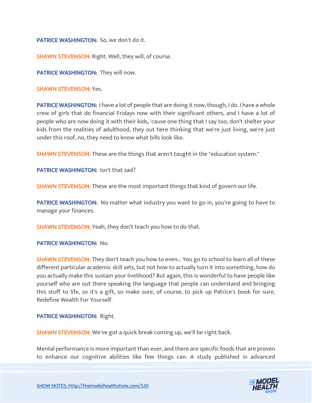PATRICE WASHINGTON: So, we don't do it.

SHAWN STEVENSON: Right. Well, they will, of course.

PATRICE WASHINGTON: They will now.

SHAWN STEVENSON: Yes.

**PATRICE WASHINGTON:** I have a lot of people that are doing it now, though, I do. I have a whole crew of girls that do financial Fridays now with their significant others, and I have a lot of people who are now doing it with their kids, 'cause one thing that I say too, don't shelter your kids from the realities of adulthood, they out here thinking that we're just living, we're just under this roof, no, they need to know what bills look like.

**SHAWN STEVENSON:** These are the things that aren't taught in the "education system."

PATRICE WASHINGTON: Isn't that sad?

**SHAWN STEVENSON:** These are the most important things that kind of govern our life.

PATRICE WASHINGTON: No matter what industry you want to go in, you're going to have to manage your finances.

**SHAWN STEVENSON:** Yeah, they don't teach you how to do that.

#### PATRICE WASHINGTON: No.

**SHAWN STEVENSON:** They don't teach you how to even... You go to school to learn all of these different particular academic skill sets, but not how to actually turn it into something, how do you actually make this sustain your livelihood? But again, this is wonderful to have people like yourself who are out there speaking the language that people can understand and bringing this stuff to life, so it's a gift, so make sure, of course, to pick up Patrice's book for sure, Redefine Wealth For Yourself.

#### PATRICE WASHINGTON: Right.

SHAWN STEVENSON: We've got a quick break coming up, we'll be right back.

Mental performance is more important than ever, and there are specific foods that are proven to enhance our cognitive abilities like few things can. A study published in advanced

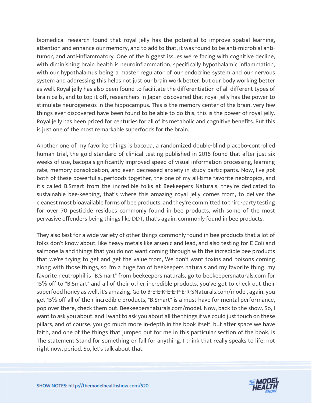biomedical research found that royal jelly has the potential to improve spatial learning, attention and enhance our memory, and to add to that, it was found to be anti-microbial antitumor, and anti-inflammatory. One of the biggest issues we're facing with cognitive decline, with diminishing brain health is neuroinflammation, specifically hypothalamic inflammation, with our hypothalamus being a master regulator of our endocrine system and our nervous system and addressing this helps not just our brain work better, but our body working better as well. Royal jelly has also been found to facilitate the differentiation of all different types of brain cells, and to top it off, researchers in Japan discovered that royal jelly has the power to stimulate neurogenesis in the hippocampus. This is the memory center of the brain, very few things ever discovered have been found to be able to do this, this is the power of royal jelly. Royal jelly has been prized for centuries for all of its metabolic and cognitive benefits. But this is just one of the most remarkable superfoods for the brain.

Another one of my favorite things is bacopa, a randomized double-blind placebo-controlled human trial, the gold standard of clinical testing published in 2016 found that after just six weeks of use, bacopa significantly improved speed of visual information processing, learning rate, memory consolidation, and even decreased anxiety in study participants. Now, I've got both of these powerful superfoods together, the one of my all-time favorite neotropics, and it's called B.Smart from the incredible folks at Beekeepers Naturals, they're dedicated to sustainable bee-keeping, that's where this amazing royal jelly comes from, to deliver the cleanest most bioavailable forms of bee products, and they're committed to third-party testing for over 70 pesticide residues commonly found in bee products, with some of the most pervasive offenders being things like DDT, that's again, commonly found in bee products.

They also test for a wide variety of other things commonly found in bee products that a lot of folks don't know about, like heavy metals like arsenic and lead, and also testing for E Coli and salmonella and things that you do not want coming through with the incredible bee products that we're trying to get and get the value from, We don't want toxins and poisons coming along with those things, so I'm a huge fan of beekeepers naturals and my favorite thing, my favorite neutrophil is "B.Smart" from beekeepers naturals, go to beekeepersnaturals.com for 15% off to "B.Smart" and all of their other incredible products, you've got to check out their superfood honey as well, it's amazing. Go to B-E-E-K-E-E-P-E-R-SNaturals.com/model, again, you get 15% off all of their incredible products, "B.Smart" is a must-have for mental performance, pop over there, check them out. Beekeepersnaturals.com/model. Now, back to the show. So, I want to ask you about, and I want to ask you about all the things if we could just touch on these pillars, and of course, you go much more in-depth in the book itself, but after space we have faith, and one of the things that jumped out for me in this particular section of the book, is The statement Stand for something or fall for anything. I think that really speaks to life, not right now, period. So, let's talk about that.

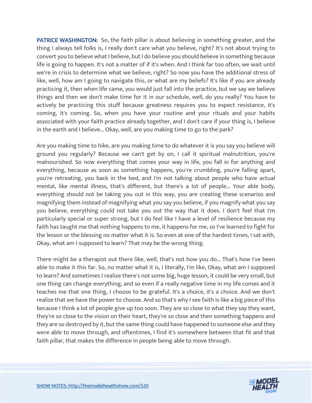PATRICE WASHINGTON: So, the faith pillar is about believing in something greater, and the thing I always tell folks is, I really don't care what you believe, right? It's not about trying to convert you to believe what I believe, but I do believe you should believe in something because life is going to happen. It's not a matter of if it's when. And I think far too often, we wait until we're in crisis to determine what we believe, right? So now you have the additional stress of like, well, how am I going to navigate this, or what are my beliefs? It's like if you are already practicing it, then when life came, you would just fall into the practice, but we say we believe things and then we don't make time for it in our schedule, well, do you really? You have to actively be practicing this stuff because greatness requires you to expect resistance, it's coming, it's coming. So, when you have your routine and your rituals and your habits associated with your faith practice already together, and I don't care if your thing is, I believe in the earth and I believe... Okay, well, are you making time to go to the park?

Are you making time to hike, are you making time to do whatever it is you say you believe will ground you regularly? Because we can't get by on, I call it spiritual malnutrition, you're malnourished. So now everything that comes your way in life, you fall in for anything and everything, because as soon as something happens, you're crumbling, you're falling apart, you're retreating, you back in the bed, and I'm not talking about people who have actual mental, like mental illness, that's different, but there's a lot of people... Your able body, everything should not be taking you out in this way, you are creating these scenarios and magnifying them instead of magnifying what you say you believe, if you magnify what you say you believe, everything could not take you out the way that it does. I don't feel that I'm particularly special or super strong, but I do feel like I have a level of resilience because my faith has taught me that nothing happens to me, it happens for me, so I've learned to fight for the lesson or the blessing no matter what it is. So even at one of the hardest times, I sat with, Okay, what am I supposed to learn? That may be the wrong thing.

There might be a therapist out there like, well, that's not how you do... That's how I've been able to make it this far. So, no matter what it is, I literally, I'm like, Okay, what am I supposed to learn? And sometimes I realize there's not some big, huge lesson, it could be very small, but one thing can change everything, and so even if a really negative time in my life comes and it teaches me that one thing, I choose to be grateful. It's a choice, it's a choice. And we don't realize that we have the power to choose. And so that's why I see faith is like a big piece of this because I think a lot of people give up too soon. They are so close to what they say they want, they're so close to the vision on their heart, they're so close and then something happens and they are so destroyed by it, but the same thing could have happened to someone else and they were able to move through, and oftentimes, I find it's somewhere between that fit and that faith pillar, that makes the difference in people being able to move through.

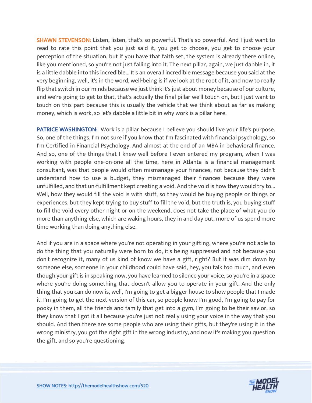SHAWN STEVENSON: Listen, listen, that's so powerful. That's so powerful. And I just want to read to rate this point that you just said it, you get to choose, you get to choose your perception of the situation, but if you have that faith set, the system is already there online, like you mentioned, so you're not just falling into it. The next pillar, again, we just dabble in, it is a little dabble into this incredible... It's an overall incredible message because you said at the very beginning, well, it's in the word, well-being is if we look at the root of it, and now to really flip that switch in our minds because we just think it's just about money because of our culture, and we're going to get to that, that's actually the final pillar we'll touch on, but I just want to touch on this part because this is usually the vehicle that we think about as far as making money, which is work, so let's dabble a little bit in why work is a pillar here.

**PATRICE WASHINGTON:** Work is a pillar because I believe you should live your life's purpose. So, one of the things, I'm not sure if you know that I'm fascinated with financial psychology, so I'm Certified in Financial Psychology. And almost at the end of an MBA in behavioral finance. And so, one of the things that I knew well before I even entered my program, when I was working with people one-on-one all the time, here in Atlanta is a financial management consultant, was that people would often mismanage your finances, not because they didn't understand how to use a budget, they mismanaged their finances because they were unfulfilled, and that un-fulfillment kept creating a void. And the void is how they would try to... Well, how they would fill the void is with stuff, so they would be buying people or things or experiences, but they kept trying to buy stuff to fill the void, but the truth is, you buying stuff to fill the void every other night or on the weekend, does not take the place of what you do more than anything else, which are waking hours, they in and day out, more of us spend more time working than doing anything else.

And if you are in a space where you're not operating in your gifting, where you're not able to do the thing that you naturally were born to do, it's being suppressed and not because you don't recognize it, many of us kind of know we have a gift, right? But it was dim down by someone else, someone in your childhood could have said, hey, you talk too much, and even though your gift is in speaking now, you have learned to silence your voice, so you're in a space where you're doing something that doesn't allow you to operate in your gift. And the only thing that you can do now is, well, I'm going to get a bigger house to show people that I made it. I'm going to get the next version of this car, so people know I'm good, I'm going to pay for pooky in them, all the friends and family that get into a gym, I'm going to be their savior, so they know that I got it all because you're just not really using your voice in the way that you should. And then there are some people who are using their gifts, but they're using it in the wrong ministry, you got the right gift in the wrong industry, and now it's making you question the gift, and so you're questioning.

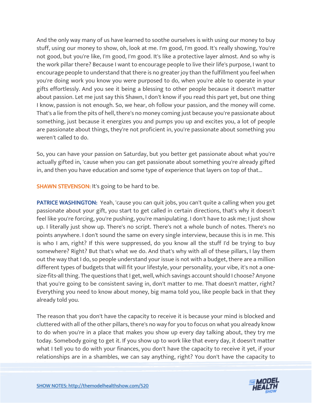And the only way many of us have learned to soothe ourselves is with using our money to buy stuff, using our money to show, oh, look at me. I'm good, I'm good. It's really showing, You're not good, but you're like, I'm good, I'm good. It's like a protective layer almost. And so why is the work pillar there? Because I want to encourage people to live their life's purpose, I want to encourage people to understand that there is no greater joy than the fulfillment you feel when you're doing work you know you were purposed to do, when you're able to operate in your gifts effortlessly. And you see it being a blessing to other people because it doesn't matter about passion. Let me just say this Shawn, I don't know if you read this part yet, but one thing I know, passion is not enough. So, we hear, oh follow your passion, and the money will come. That's a lie from the pits of hell, there's no money coming just because you're passionate about something, just because it energizes you and pumps you up and excites you, a lot of people are passionate about things, they're not proficient in, you're passionate about something you weren't called to do.

So, you can have your passion on Saturday, but you better get passionate about what you're actually gifted in, 'cause when you can get passionate about something you're already gifted in, and then you have education and some type of experience that layers on top of that...

SHAWN STEVENSON: It's going to be hard to be.

PATRICE WASHINGTON: Yeah, 'cause you can quit jobs, you can't quite a calling when you get passionate about your gift, you start to get called in certain directions, that's why it doesn't feel like you're forcing, you're pushing, you're manipulating. I don't have to ask me; I just show up. I literally just show up. There's no script. There's not a whole bunch of notes. There's no points anywhere. I don't sound the same on every single interview, because this is in me. This is who I am, right? If this were suppressed, do you know all the stuff I'd be trying to buy somewhere? Right? But that's what we do. And that's why with all of these pillars, I lay them out the way that I do, so people understand your issue is not with a budget, there are a million different types of budgets that will fit your lifestyle, your personality, your vibe, it's not a onesize-fits-all thing. The questions that I get, well, which savings account should I choose? Anyone that you're going to be consistent saving in, don't matter to me. That doesn't matter, right? Everything you need to know about money, big mama told you, like people back in that they already told you.

The reason that you don't have the capacity to receive it is because your mind is blocked and cluttered with all of the other pillars, there's no way for you to focus on what you already know to do when you're in a place that makes you show up every day talking about, they try me today. Somebody going to get it. If you show up to work like that every day, it doesn't matter what I tell you to do with your finances, you don't have the capacity to receive it yet, if your relationships are in a shambles, we can say anything, right? You don't have the capacity to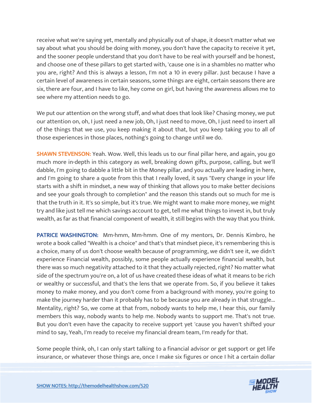receive what we're saying yet, mentally and physically out of shape, it doesn't matter what we say about what you should be doing with money, you don't have the capacity to receive it yet, and the sooner people understand that you don't have to be real with yourself and be honest, and choose one of these pillars to get started with, 'cause one is in a shambles no matter who you are, right? And this is always a lesson, I'm not a 10 in every pillar. Just because I have a certain level of awareness in certain seasons, some things are eight, certain seasons there are six, there are four, and I have to like, hey come on girl, but having the awareness allows me to see where my attention needs to go.

We put our attention on the wrong stuff, and what does that look like? Chasing money, we put our attention on, oh, I just need a new job, Oh, I just need to move, Oh, I just need to insert all of the things that we use, you keep making it about that, but you keep taking you to all of those experiences in those places, nothing's going to change until we do.

SHAWN STEVENSON: Yeah. Wow. Well, this leads us to our final pillar here, and again, you go much more in-depth in this category as well, breaking down gifts, purpose, calling, but we'll dabble, I'm going to dabble a little bit in the Money pillar, and you actually are leading in here, and I'm going to share a quote from this that I really loved, it says "Every change in your life starts with a shift in mindset, a new way of thinking that allows you to make better decisions and see your goals through to completion" and the reason this stands out so much for me is that the truth in it. It's so simple, but it's true. We might want to make more money, we might try and like just tell me which savings account to get, tell me what things to invest in, but truly wealth, as far as that financial component of wealth, it still begins with the way that you think.

PATRICE WASHINGTON: Mm-hmm, Mm-hmm. One of my mentors, Dr. Dennis Kimbro, he wrote a book called "Wealth is a choice" and that's that mindset piece, it's remembering this is a choice, many of us don't choose wealth because of programming, we didn't see it, we didn't experience Financial wealth, possibly, some people actually experience financial wealth, but there was so much negativity attached to it that they actually rejected, right? No matter what side of the spectrum you're on, a lot of us have created these ideas of what it means to be rich or wealthy or successful, and that's the lens that we operate from. So, if you believe it takes money to make money, and you don't come from a background with money, you're going to make the journey harder than it probably has to be because you are already in that struggle... Mentality, right? So, we come at that from, nobody wants to help me, I hear this, our family members this way, nobody wants to help me. Nobody wants to support me. That's not true. But you don't even have the capacity to receive support yet 'cause you haven't shifted your mind to say, Yeah, I'm ready to receive my financial dream team, I'm ready for that.

Some people think, oh, I can only start talking to a financial advisor or get support or get life insurance, or whatever those things are, once I make six figures or once I hit a certain dollar

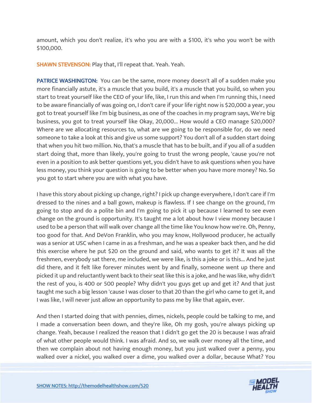amount, which you don't realize, it's who you are with a \$100, it's who you won't be with \$100,000.

SHAWN STEVENSON: Play that, I'll repeat that. Yeah. Yeah.

**PATRICE WASHINGTON:** You can be the same, more money doesn't all of a sudden make you more financially astute, it's a muscle that you build, it's a muscle that you build, so when you start to treat yourself like the CEO of your life, like, I run this and when I'm running this, I need to be aware financially of was going on, I don't care if your life right now is \$20,000 a year, you got to treat yourself like I'm big business, as one of the coaches in my program says, We're big business, you got to treat yourself like Okay, 20,000... How would a CEO manage \$20,000? Where are we allocating resources to, what are we going to be responsible for, do we need someone to take a look at this and give us some support? You don't all of a sudden start doing that when you hit two million. No, that's a muscle that has to be built, and if you all of a sudden start doing that, more than likely, you're going to trust the wrong people, 'cause you're not even in a position to ask better questions yet, you didn't have to ask questions when you have less money, you think your question is going to be better when you have more money? No. So you got to start where you are with what you have.

I have this story about picking up change, right? I pick up change everywhere, I don't care if I'm dressed to the nines and a ball gown, makeup is flawless. If I see change on the ground, I'm going to stop and do a polite bin and I'm going to pick it up because I learned to see even change on the ground is opportunity. It's taught me a lot about how I view money because I used to be a person that will walk over change all the time like You know how we're. Oh, Penny, too good for that. And DeVon Franklin, who you may know, Hollywood producer, he actually was a senior at USC when I came in as a freshman, and he was a speaker back then, and he did this exercise where he put \$20 on the ground and said, who wants to get it? It was all the freshmen, everybody sat there, me included, we were like, is this a joke or is this... And he just did there, and it felt like forever minutes went by and finally, someone went up there and picked it up and reluctantly went back to their seat like this is a joke, and he was like, why didn't the rest of you, is 400 or 500 people? Why didn't you guys get up and get it? And that just taught me such a big lesson 'cause I was closer to that 20 than the girl who came to get it, and I was like, I will never just allow an opportunity to pass me by like that again, ever.

And then I started doing that with pennies, dimes, nickels, people could be talking to me, and I made a conversation been down, and they're like, Oh my gosh, you're always picking up change. Yeah, because I realized the reason that I didn't go get the 20 is because I was afraid of what other people would think. I was afraid. And so, we walk over money all the time, and then we complain about not having enough money, but you just walked over a penny, you walked over a nickel, you walked over a dime, you walked over a dollar, because What? You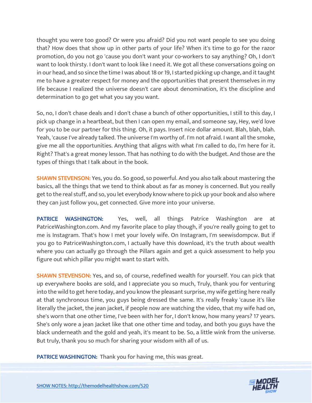thought you were too good? Or were you afraid? Did you not want people to see you doing that? How does that show up in other parts of your life? When it's time to go for the razor promotion, do you not go 'cause you don't want your co-workers to say anything? Oh, I don't want to look thirsty. I don't want to look like I need it. We got all these conversations going on in our head, and so since the time I was about 18 or 19, I started picking up change, and it taught me to have a greater respect for money and the opportunities that present themselves in my life because I realized the universe doesn't care about denomination, it's the discipline and determination to go get what you say you want.

So, no, I don't chase deals and I don't chase a bunch of other opportunities, I still to this day, I pick up change in a heartbeat, but then I can open my email, and someone say, Hey, we'd love for you to be our partner for this thing. Oh, it pays. Insert nice dollar amount. Blah, blah, blah. Yeah, 'cause I've already talked. The universe I'm worthy of. I'm not afraid. I want all the smoke, give me all the opportunities. Anything that aligns with what I'm called to do, I'm here for it. Right? That's a great money lesson. That has nothing to do with the budget. And those are the types of things that I talk about in the book.

SHAWN STEVENSON: Yes, you do. So good, so powerful. And you also talk about mastering the basics, all the things that we tend to think about as far as money is concerned. But you really get to the real stuff, and so, you let everybody know where to pick up your book and also where they can just follow you, get connected. Give more into your universe.

PATRICE WASHINGTON: Yes, well, all things Patrice Washington are at PatriceWashington.com. And my favorite place to play though, if you're really going to get to me is Instagram. That's how I met your lovely wife. On Instagram, I'm seewisdompcw. But if you go to PatriceWashington.com, I actually have this download, it's the truth about wealth where you can actually go through the Pillars again and get a quick assessment to help you figure out which pillar you might want to start with.

SHAWN STEVENSON: Yes, and so, of course, redefined wealth for yourself. You can pick that up everywhere books are sold, and I appreciate you so much, Truly, thank you for venturing into the wild to get here today, and you know the pleasant surprise, my wife getting here really at that synchronous time, you guys being dressed the same. It's really freaky 'cause it's like literally the jacket, the jean jacket, if people now are watching the video, that my wife had on, she's worn that one other time, I've been with her for, I don't know, how many years? 17 years. She's only wore a jean Jacket like that one other time and today, and both you guys have the black underneath and the gold and yeah, it's meant to be. So, a little wink from the universe. But truly, thank you so much for sharing your wisdom with all of us.

PATRICE WASHINGTON: Thank you for having me, this was great.